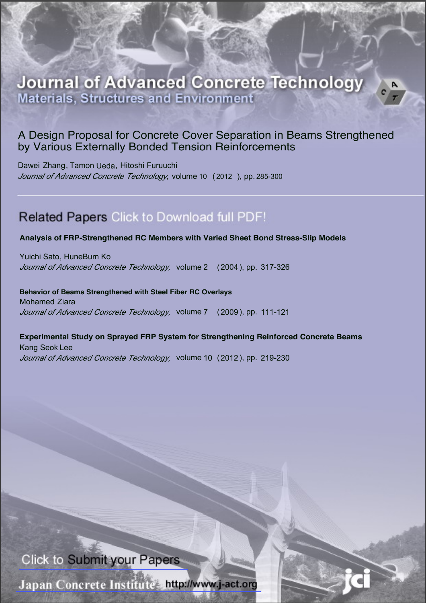# **Journal of Advanced Concrete Technology Materials, Structures and Environm**

# A Design Proposal for Concrete Cover Separation in Beams Strengthened by Various Externally Bonded Tension Reinforcements

Dawei Zhang, Tamon Ueda, Hitoshi Furuuchi *Journal of Advanced Concrete Technology, volume 10 (2012), pp. 285-300* 

# Related Papers Click to Download full PDF!

# **[Analysis of FRP-Strengthened RC Members with Varied Sheet Bond Stress-Slip Models](https://www.jstage.jst.go.jp/article/jact/2/3/2_3_317/_pdf)**

Yuichi Sato, HuneBum Ko *Journal of Advanced Concrete Technology, volume 2 (2004), pp. 317-326* 

**[Behavior of Beams Strengthened with Steel Fiber RC Overlays](https://www.jstage.jst.go.jp/article/jact/7/1/7_1_111/_pdf)** Mohamed Ziara *Journal of Advanced Concrete Technology, volume 7 (2009), pp. 111-121* 

**[Experimental Study on Sprayed FRP System for Strengthening Reinforced Concrete Beams](https://www.jstage.jst.go.jp/article/jact/10/6/10_219/_pdf)** Kang Seok Lee *Journal of Advanced Concrete Technology, volume 10 (2012), pp. 219-230* 

**Click to Submit your Papers** 

Japan Concrete Institute http://www.j-act.org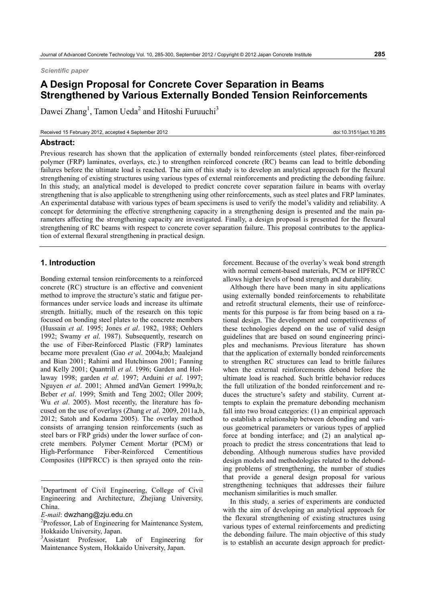*Scientific paper* 

# **A Design Proposal for Concrete Cover Separation in Beams Strengthened by Various Externally Bonded Tension Reinforcements**

Dawei Zhang<sup>1</sup>, Tamon Ueda<sup>2</sup> and Hitoshi Furuuchi<sup>3</sup>

Received 15 February 2012, accepted 4 September 2012 doi:10.3151/jact.10.285

#### **Abstract:**

Previous research has shown that the application of externally bonded reinforcements (steel plates, fiber-reinforced polymer (FRP) laminates, overlays, etc.) to strengthen reinforced concrete (RC) beams can lead to brittle debonding failures before the ultimate load is reached. The aim of this study is to develop an analytical approach for the flexural strengthening of existing structures using various types of external reinforcements and predicting the debonding failure. In this study, an analytical model is developed to predict concrete cover separation failure in beams with overlay strengthening that is also applicable to strengthening using other reinforcements, such as steel plates and FRP laminates. An experimental database with various types of beam specimens is used to verify the model's validity and reliability. A concept for determining the effective strengthening capacity in a strengthening design is presented and the main parameters affecting the strengthening capacity are investigated. Finally, a design proposal is presented for the flexural strengthening of RC beams with respect to concrete cover separation failure. This proposal contributes to the application of external flexural strengthening in practical design.

## **1. Introduction**

Bonding external tension reinforcements to a reinforced concrete (RC) structure is an effective and convenient method to improve the structure's static and fatigue performances under service loads and increase its ultimate strength. Initially, much of the research on this topic focused on bonding steel plates to the concrete members (Hussain *et al*. 1995; Jones *et al*. 1982, 1988; Oehlers 1992; Swamy *et al*. 1987). Subsequently, research on the use of Fiber-Reinforced Plastic (FRP) laminates became more prevalent (Gao *et al*. 2004a,b; Maalejand and Bian 2001; Rahimi and Hutchinson 2001; Fanning and Kelly 2001; Quantrill *et al*. 1996; Garden and Hollaway 1998; garden *et al*. 1997; Arduini *et al*. 1997; Nguyen *et al*. 2001; Ahmed andVan Gemert 1999a,b; Beber *et al*. 1999; Smith and Teng 2002; Oller 2009; Wu *et al*. 2005). Most recently, the literature has focused on the use of overlays (Zhang *et al*. 2009, 2011a,b, 2012; Satoh and Kodama 2005). The overlay method consists of arranging tension reinforcements (such as steel bars or FRP grids) under the lower surface of concrete members. Polymer Cement Mortar (PCM) or High-Performance Fiber-Reinforced Cementitious Composites (HPFRCC) is then sprayed onto the reinforcement. Because of the overlay's weak bond strength with normal cement-based materials, PCM or HPFRCC allows higher levels of bond strength and durability.

Although there have been many in situ applications using externally bonded reinforcements to rehabilitate and retrofit structural elements, their use of reinforcements for this purpose is far from being based on a rational design. The development and competitiveness of these technologies depend on the use of valid design guidelines that are based on sound engineering principles and mechanisms. Previous literature has shown that the application of externally bonded reinforcements to strengthen RC structures can lead to brittle failures when the external reinforcements debond before the ultimate load is reached. Such brittle behavior reduces the full utilization of the bonded reinforcement and reduces the structure's safety and stability. Current attempts to explain the premature debonding mechanism fall into two broad categories: (1) an empirical approach to establish a relationship between debonding and various geometrical parameters or various types of applied force at bonding interface; and (2) an analytical approach to predict the stress concentrations that lead to debonding. Although numerous studies have provided design models and methodologies related to the debonding problems of strengthening, the number of studies that provide a general design proposal for various strengthening techniques that addresses their failure mechanism similarities is much smaller.

In this study, a series of experiments are conducted with the aim of developing an analytical approach for the flexural strengthening of existing structures using various types of external reinforcements and predicting the debonding failure. The main objective of this study is to establish an accurate design approach for predict-

<sup>&</sup>lt;sup>1</sup>Department of Civil Engineering, College of Civil Engineering and Architecture, Zhejiang University, China.

*E-mail*: dwzhang@zju.edu.cn <sup>2</sup>

<sup>&</sup>lt;sup>2</sup>Professor, Lab of Engineering for Maintenance System, Hokkaido University, Japan.

<sup>&</sup>lt;sup>3</sup>Assistant Professor, Lab of Engineering for Maintenance System, Hokkaido University, Japan.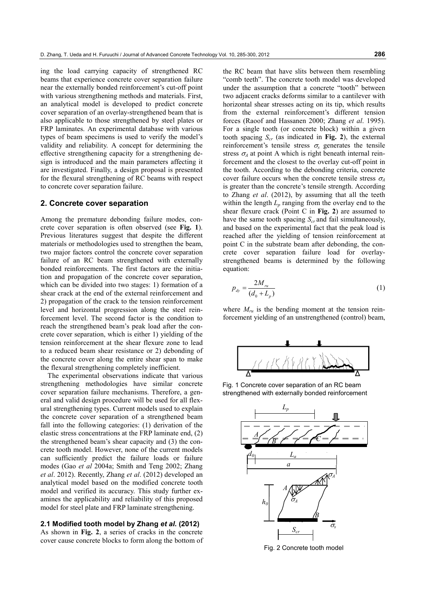ing the load carrying capacity of strengthened RC beams that experience concrete cover separation failure near the externally bonded reinforcement's cut-off point with various strengthening methods and materials. First, an analytical model is developed to predict concrete cover separation of an overlay-strengthened beam that is also applicable to those strengthened by steel plates or FRP laminates. An experimental database with various types of beam specimens is used to verify the model's validity and reliability. A concept for determining the effective strengthening capacity for a strengthening design is introduced and the main parameters affecting it are investigated. Finally, a design proposal is presented for the flexural strengthening of RC beams with respect to concrete cover separation failure.

#### **2. Concrete cover separation**

Among the premature debonding failure modes, concrete cover separation is often observed (see **Fig. 1**). Previous literatures suggest that despite the different materials or methodologies used to strengthen the beam, two major factors control the concrete cover separation failure of an RC beam strengthened with externally bonded reinforcements. The first factors are the initiation and propagation of the concrete cover separation, which can be divided into two stages: 1) formation of a shear crack at the end of the external reinforcement and 2) propagation of the crack to the tension reinforcement level and horizontal progression along the steel reinforcement level. The second factor is the condition to reach the strengthened beam's peak load after the concrete cover separation, which is either 1) yielding of the tension reinforcement at the shear flexure zone to lead to a reduced beam shear resistance or 2) debonding of the concrete cover along the entire shear span to make the flexural strengthening completely inefficient.

The experimental observations indicate that various strengthening methodologies have similar concrete cover separation failure mechanisms. Therefore, a general and valid design procedure will be used for all flexural strengthening types. Current models used to explain the concrete cover separation of a strengthened beam fall into the following categories: (1) derivation of the elastic stress concentrations at the FRP laminate end, (2) the strengthened beam's shear capacity and (3) the concrete tooth model. However, none of the current models can sufficiently predict the failure loads or failure modes (Gao *et al* 2004a; Smith and Teng 2002; Zhang *et al*. 2012). Recently, Zhang *et al*. (2012) developed an analytical model based on the modified concrete tooth model and verified its accuracy. This study further examines the applicability and reliability of this proposed model for steel plate and FRP laminate strengthening.

#### **2.1 Modified tooth model by Zhang** *et al***. (2012)**

As shown in **Fig. 2**, a series of cracks in the concrete cover cause concrete blocks to form along the bottom of the RC beam that have slits between them resembling "comb teeth". The concrete tooth model was developed under the assumption that a concrete "tooth" between two adjacent cracks deforms similar to a cantilever with horizontal shear stresses acting on its tip, which results from the external reinforcement's different tension forces (Raoof and Hassanen 2000; Zhang *et al*. 1995). For a single tooth (or concrete block) within a given tooth spacing  $S_{cr}$  (as indicated in **Fig. 2**), the external reinforcement's tensile stress  $\sigma_s$  generates the tensile stress  $\sigma_A$  at point A which is right beneath internal reinforcement and the closest to the overlay cut-off point in the tooth. According to the debonding criteria, concrete cover failure occurs when the concrete tensile stress  $\sigma_A$ is greater than the concrete's tensile strength. According to Zhang *et al*. (2012), by assuming that all the teeth within the length  $L_p$  ranging from the overlay end to the shear flexure crack (Point C in **Fig. 2**) are assumed to have the same tooth spacing *S<sub>cr</sub>* and fail simultaneously, and based on the experimental fact that the peak load is reached after the yielding of tension reinforcement at point C in the substrate beam after debonding, the concrete cover separation failure load for overlaystrengthened beams is determined by the following equation:

$$
p_{dy} = \frac{2M_{ru}}{(d_0 + L_p)}
$$
 (1)

where  $M_{ru}$  is the bending moment at the tension reinforcement yielding of an unstrengthened (control) beam,



Fig. 1 Concrete cover separation of an RC beam strengthened with externally bonded reinforcement



Fig. 2 Concrete tooth model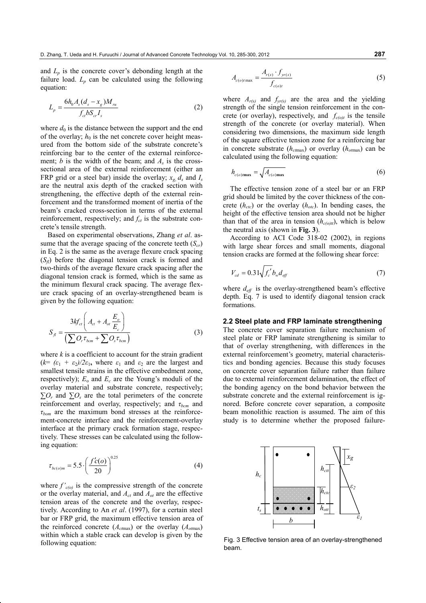and  $L_p$  is the concrete cover's debonding length at the failure load.  $L_p$  can be calculated using the following equation:

$$
L_p = \frac{6h_0 A_s (d_s - x_g)M_{ru}}{f_{ct} b S_{cr} I_s}
$$
 (2)

where  $d_0$  is the distance between the support and the end of the overlay;  $h_0$  is the net concrete cover height measured from the bottom side of the substrate concrete's reinforcing bar to the center of the external reinforcement; *b* is the width of the beam; and  $A_s$  is the crosssectional area of the external reinforcement (either an FRP grid or a steel bar) inside the overlay;  $x_g$ ,  $d_s$  and  $I_s$ are the neutral axis depth of the cracked section with strengthening, the effective depth of the external reinforcement and the transformed moment of inertia of the beam's cracked cross-section in terms of the external reinforcement, respectively; and  $f_{ct}$  is the substrate concrete's tensile strength.

Based on experimental observations, Zhang *et al*. assume that the average spacing of the concrete teeth  $(S_{cr})$ in Eq. 2 is the same as the average flexure crack spacing  $(S_d)$  before the diagonal tension crack is formed and two-thirds of the average flexure crack spacing after the diagonal tension crack is formed, which is the same as the minimum flexural crack spacing. The average flexure crack spacing of an overlay-strengthened beam is given by the following equation:

$$
S_{\scriptscriptstyle fl} = \frac{3k f_{\scriptscriptstyle ct} \left( A_{\scriptscriptstyle ct} + A_{\scriptscriptstyle of} \frac{E_{\scriptscriptstyle o}}{E_{\scriptscriptstyle c}} \right)}{\left( \sum_{\scriptscriptstyle r} O_{\scriptscriptstyle r} \tau_{\scriptscriptstyle bcm} + \sum_{\scriptscriptstyle r} O_{\scriptscriptstyle s} \tau_{\scriptscriptstyle bcm} \right)}\tag{3}
$$

where *k* is a coefficient to account for the strain gradient  $(k = (\varepsilon_1 + \varepsilon_2)/2\varepsilon_1$ , where  $\varepsilon_1$  and  $\varepsilon_2$  are the largest and smallest tensile strains in the effective embedment zone, respectively);  $E_0$  and  $E_c$  are the Young's moduli of the overlay material and substrate concrete, respectively;  $\Sigma O_r$  and  $\Sigma O_s$  are the total perimeters of the concrete reinforcement and overlay, respectively; and *τbcm* and *τbom* are the maximum bond stresses at the reinforcement-concrete interface and the reinforcement-overlay interface at the primary crack formation stage, respectively. These stresses can be calculated using the following equation:

$$
\tau_{bc(o)m} = 5.5 \cdot \left(\frac{fc(o)}{20}\right)^{0.25}
$$
 (4)

where  $f'_{c(0)}$  is the compressive strength of the concrete or the overlay material, and  $A_{ct}$  and  $A_{ot}$  are the effective tension areas of the concrete and the overlay, respectively. According to An *et al*. (1997), for a certain steel bar or FRP grid, the maximum effective tension area of the reinforced concrete  $(A_{\text{ctmax}})$  or the overlay  $(A_{\text{ctmax}})$ within which a stable crack can develop is given by the following equation:

$$
A_{c(o)t \max} = \frac{A_{r(s)} \cdot f_{yr(s)}}{f_{c(o)t}}
$$
 (5)

where  $A_{r(s)}$  and  $f_{v(r(s))}$  are the area and the yielding strength of the single tension reinforcement in the concrete (or overlay), respectively, and  $f_{c(0)t}$  is the tensile strength of the concrete (or overlay material). When considering two dimensions, the maximum side length of the square effective tension zone for a reinforcing bar in concrete substrate (*hct*max) or overlay (*hot*max) can be calculated using the following equation:

$$
h_{c(o)\text{max}} = \sqrt{A_{c(o)\text{max}}} \tag{6}
$$

The effective tension zone of a steel bar or an FRP grid should be limited by the cover thickness of the concrete  $(h_{ctc})$  or the overlay  $(h_{otc})$ . In bending cases, the height of the effective tension area should not be higher than that of the area in tension  $(h_{c(0)tt})$ , which is below the neutral axis (shown in **Fig. 3**).

According to ACI Code 318-02 (2002), in regions with large shear forces and small moments, diagonal tension cracks are formed at the following shear force:

$$
V_{cd} = 0.31 \sqrt{f_c'} b_w d_{eff}
$$
 (7)

where  $d_{\text{eff}}$  is the overlay-strengthened beam's effective depth. Eq. 7 is used to identify diagonal tension crack formations.

#### **2.2 Steel plate and FRP laminate strengthening**

The concrete cover separation failure mechanism of steel plate or FRP laminate strengthening is similar to that of overlay strengthening, with differences in the external reinforcement's geometry, material characteristics and bonding agencies. Because this study focuses on concrete cover separation failure rather than failure due to external reinforcement delamination, the effect of the bonding agency on the bond behavior between the substrate concrete and the external reinforcement is ignored. Before concrete cover separation, a composite beam monolithic reaction is assumed. The aim of this study is to determine whether the proposed failure-



Fig. 3 Effective tension area of an overlay-strengthened beam.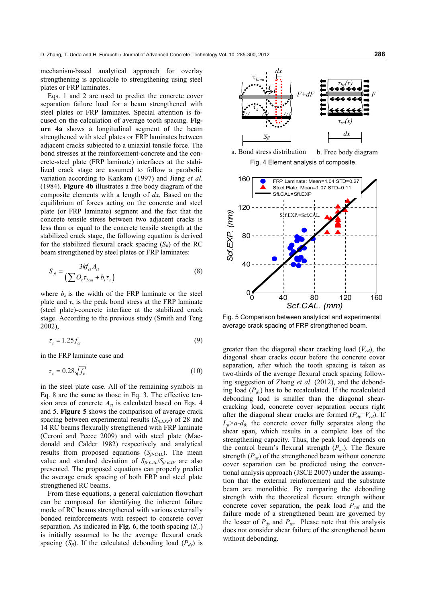mechanism-based analytical approach for overlay strengthening is applicable to strengthening using steel plates or FRP laminates.

Eqs. 1 and 2 are used to predict the concrete cover separation failure load for a beam strengthened with steel plates or FRP laminates. Special attention is focused on the calculation of average tooth spacing. **Figure 4a** shows a longitudinal segment of the beam strengthened with steel plates or FRP laminates between adjacent cracks subjected to a uniaxial tensile force. The bond stresses at the reinforcement-concrete and the concrete-steel plate (FRP laminate) interfaces at the stabilized crack stage are assumed to follow a parabolic variation according to Kankam (1997) and Jiang *et al*. (1984). **Figure 4b** illustrates a free body diagram of the composite elements with a length of *dx*. Based on the equilibrium of forces acting on the concrete and steel plate (or FRP laminate) segment and the fact that the concrete tensile stress between two adjacent cracks is less than or equal to the concrete tensile strength at the stabilized crack stage, the following equation is derived for the stabilized flexural crack spacing  $(S_f)$  of the RC beam strengthened by steel plates or FRP laminates:

$$
S_{\scriptscriptstyle\iiint} = \frac{3k f_{\scriptscriptstyle ct} A_{\scriptscriptstyle ct}}{\left(\sum O_{r} \tau_{\scriptscriptstyle bcm} + b_{\scriptscriptstyle s} \tau_{\scriptscriptstyle s}\right)}\tag{8}
$$

where  $b_s$  is the width of the FRP laminate or the steel plate and  $\tau_s$  is the peak bond stress at the FRP laminate (steel plate)-concrete interface at the stabilized crack stage. According to the previous study (Smith and Teng 2002),

$$
\tau_s = 1.25 f_{ct} \tag{9}
$$

in the FRP laminate case and

$$
\tau_s = 0.28 \sqrt{f'_c} \tag{10}
$$

in the steel plate case. All of the remaining symbols in Eq. 8 are the same as those in Eq. 3. The effective tension area of concrete  $A_{ct}$  is calculated based on Eqs. 4 and 5. **Figure 5** shows the comparison of average crack spacing between experimental results  $(S_{dEVP})$  of 28 and 14 RC beams flexurally strengthened with FRP laminate (Ceroni and Pecce 2009) and with steel plate (Macdonald and Calder 1982) respectively and analytical results from proposed equations  $(S_{\text{fl.CAL}})$ . The mean value and standard deviation of  $S_{\text{fl.}CAL}/S_{\text{fl.} EXP}$  are also presented. The proposed equations can properly predict the average crack spacing of both FRP and steel plate strengthened RC beams.

From these equations, a general calculation flowchart can be composed for identifying the inherent failure mode of RC beams strengthened with various externally bonded reinforcements with respect to concrete cover separation. As indicated in **Fig. 6**, the tooth spacing  $(S_{cr})$ is initially assumed to be the average flexural crack spacing  $(S_f)$ . If the calculated debonding load  $(P_{dy})$  is



Fig. 4 Element analysis of composite. a. Bond stress distribution b. Free body diagram



Fig. 5 Comparison between analytical and experimental average crack spacing of FRP strengthened beam.

greater than the diagonal shear cracking load  $(V_{cd})$ , the diagonal shear cracks occur before the concrete cover separation, after which the tooth spacing is taken as two-thirds of the average flexural crack spacing following suggestion of Zhang *et al*. (2012), and the debonding load  $(P_{dy})$  has to be recalculated. If the recalculated debonding load is smaller than the diagonal shearcracking load, concrete cover separation occurs right after the diagonal shear cracks are formed  $(P_{dy} = V_{cd})$ . If  $L_p$ >a-d<sub>0</sub>, the concrete cover fully separates along the shear span, which results in a complete loss of the strengthening capacity. Thus, the peak load depends on the control beam's flexural strength (*Puc*). The flexure strength (*Pus*) of the strengthened beam without concrete cover separation can be predicted using the conventional analysis approach (JSCE 2007) under the assumption that the external reinforcement and the substrate beam are monolithic. By comparing the debonding strength with the theoretical flexure strength without concrete cover separation, the peak load  $P_{cal}$  and the failure mode of a strengthened beam are governed by the lesser of  $P_{dv}$  and  $P_{us}$ . Please note that this analysis does not consider shear failure of the strengthened beam without debonding.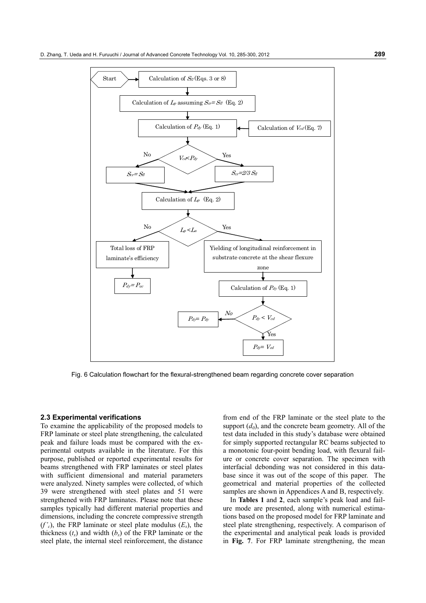

Fig. 6 Calculation flowchart for the flexural-strengthened beam regarding concrete cover separation

#### **2.3 Experimental verifications**

To examine the applicability of the proposed models to FRP laminate or steel plate strengthening, the calculated peak and failure loads must be compared with the experimental outputs available in the literature. For this purpose, published or reported experimental results for beams strengthened with FRP laminates or steel plates with sufficient dimensional and material parameters were analyzed. Ninety samples were collected, of which 39 were strengthened with steel plates and 51 were strengthened with FRP laminates. Please note that these samples typically had different material properties and dimensions, including the concrete compressive strength  $(f'_c)$ , the FRP laminate or steel plate modulus  $(E_s)$ , the thickness  $(t_s)$  and width  $(b_s)$  of the FRP laminate or the steel plate, the internal steel reinforcement, the distance

from end of the FRP laminate or the steel plate to the support  $(d_0)$ , and the concrete beam geometry. All of the test data included in this study's database were obtained for simply supported rectangular RC beams subjected to a monotonic four-point bending load, with flexural failure or concrete cover separation. The specimen with interfacial debonding was not considered in this database since it was out of the scope of this paper. The geometrical and material properties of the collected samples are shown in Appendices A and B, respectively.

In **Tables 1** and **2**, each sample's peak load and failure mode are presented, along with numerical estimations based on the proposed model for FRP laminate and steel plate strengthening, respectively. A comparison of the experimental and analytical peak loads is provided in **Fig. 7**. For FRP laminate strengthening, the mean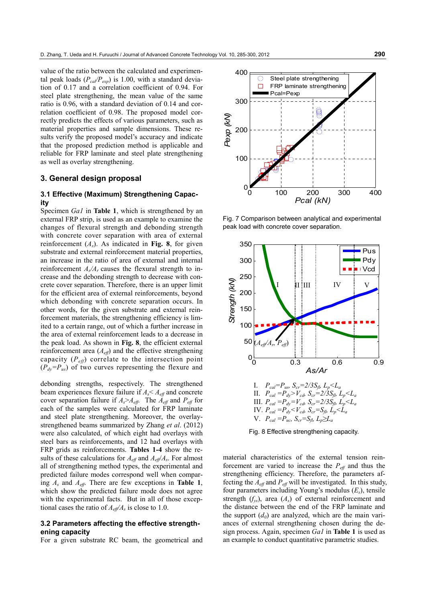value of the ratio between the calculated and experimental peak loads  $(P_{cal}/P_{exp})$  is 1.00, with a standard deviation of 0.17 and a correlation coefficient of 0.94. For steel plate strengthening, the mean value of the same ratio is 0.96, with a standard deviation of 0.14 and correlation coefficient of 0.98. The proposed model correctly predicts the effects of various parameters, such as material properties and sample dimensions. These results verify the proposed model's accuracy and indicate that the proposed prediction method is applicable and reliable for FRP laminate and steel plate strengthening as well as overlay strengthening.

# **3. General design proposal**

### **3.1 Effective (Maximum) Strengthening Capacity**

Specimen *Ga1* in **Table 1**, which is strengthened by an external FRP strip, is used as an example to examine the changes of flexural strength and debonding strength with concrete cover separation with area of external reinforcement  $(A_s)$ . As indicated in **Fig. 8**, for given substrate and external reinforcement material properties, an increase in the ratio of area of external and internal reinforcement  $A_s/A_r$  causes the flexural strength to increase and the debonding strength to decrease with concrete cover separation. Therefore, there is an upper limit for the efficient area of external reinforcements, beyond which debonding with concrete separation occurs. In other words, for the given substrate and external reinforcement materials, the strengthening efficiency is limited to a certain range, out of which a further increase in the area of external reinforcement leads to a decrease in the peak load. As shown in **Fig. 8**, the efficient external reinforcement area  $(A_{\text{eff}})$  and the effective strengthening capacity  $(P_{\text{eff}})$  correlate to the intersection point  $(P_{dy}=P_{us})$  of two curves representing the flexure and

debonding strengths, respectively. The strengthened beam experiences flexure failure if  $A_s < A_{\text{eff}}$  and concrete cover separation failure if  $A_s > A_{\text{eff}}$ . The  $A_{\text{eff}}$  and  $P_{\text{eff}}$  for each of the samples were calculated for FRP laminate and steel plate strengthening. Moreover, the overlaystrengthened beams summarized by Zhang *et al*. (2012) were also calculated, of which eight had overlays with steel bars as reinforcements, and 12 had overlays with FRP grids as reinforcements. **Tables 1-4** show the results of these calculations for  $A_{\text{eff}}$  and  $A_{\text{eff}}/A_s$ . For almost all of strengthening method types, the experimental and predicted failure modes correspond well when comparing *As* and *Aeff*. There are few exceptions in **Table 1**, which show the predicted failure mode does not agree with the experimental facts. But in all of those exceptional cases the ratio of  $A_{\text{eff}}/A_s$  is close to 1.0.

#### **3.2 Parameters affecting the effective strengthening capacity**

For a given substrate RC beam, the geometrical and



Fig. 7 Comparison between analytical and experimental peak load with concrete cover separation.



Fig. 8 Effective strengthening capacity.

material characteristics of the external tension reinforcement are varied to increase the  $P_{\text{eff}}$  and thus the strengthening efficiency. Therefore, the parameters affecting the *Aeff* and *Peff* will be investigated. In this study, four parameters including Young's modulus (*Es*), tensile strength  $(f_{vs})$ , area  $(A_s)$  of external reinforcement and the distance between the end of the FRP laminate and the support  $(d_0)$  are analyzed, which are the main variances of external strengthening chosen during the design process. Again, specimen *Ga1* in **Table 1** is used as an example to conduct quantitative parametric studies.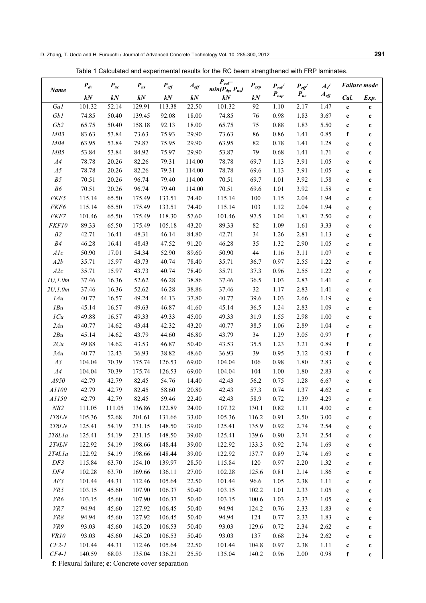|  |  |  | Table 1 Calculated and experimental results for the RC beam strengthened with FRP laminates. |
|--|--|--|----------------------------------------------------------------------------------------------|
|  |  |  |                                                                                              |

| Name                   | $P_{dy}$ | $P_{uc}$ | $P_{us}$ | $\boldsymbol{P}_{\text{eff}}$ | $A_{\it eff}$  | $P_{cal}$<br>$min(P_{dy}, P_{us})$ | $\boldsymbol{P_{exp}}$ | $P_{cal}$ | $\textbf{\textit{P}}_{\mathit{eff}}$ | $A_{s}$       |             | <b>Failure mode</b> |
|------------------------|----------|----------|----------|-------------------------------|----------------|------------------------------------|------------------------|-----------|--------------------------------------|---------------|-------------|---------------------|
|                        | kN       | kN       | kN       | $k\mathcal{N}$                | $k\mathcal{N}$ | kN                                 | kN                     | $P_{exp}$ | $P_{uc}$                             | $A_{e\!f\!f}$ | Cal.        | Exp.                |
| Gal                    | 101.32   | 52.14    | 129.91   | 113.38                        | 22.50          | 101.32                             | 92                     | 1.10      | 2.17                                 | 1.47          | $\mathbf c$ | $\mathbf c$         |
| Gb1                    | 74.85    | 50.40    | 139.45   | 92.08                         | 18.00          | 74.85                              | 76                     | 0.98      | 1.83                                 | 3.67          | $\mathbf c$ | $\mathbf c$         |
| Gb2                    | 65.75    | 50.40    | 158.18   | 92.13                         | 18.00          | 65.75                              | 75                     | 0.88      | 1.83                                 | 5.50          | $\mathbf c$ | $\mathbf c$         |
| MB3                    | 83.63    | 53.84    | 73.63    | 75.93                         | 29.90          | 73.63                              | 86                     | 0.86      | 1.41                                 | 0.85          | f           | $\mathbf c$         |
| MB4                    | 63.95    | 53.84    | 79.87    | 75.95                         | 29.90          | 63.95                              | 82                     | 0.78      | 1.41                                 | 1.28          | $\mathbf c$ | $\mathbf c$         |
| MB5                    | 53.84    | 53.84    | 84.92    | 75.97                         | 29.90          | 53.87                              | 79                     | 0.68      | 1.41                                 | 1.71          | $\mathbf c$ | $\mathbf c$         |
| A4                     | 78.78    | 20.26    | 82.26    | 79.31                         | 114.00         | 78.78                              | 69.7                   | 1.13      | 3.91                                 | 1.05          | $\mathbf c$ | $\mathbf c$         |
| A5                     | 78.78    | 20.26    | 82.26    | 79.31                         | 114.00         | 78.78                              | 69.6                   | 1.13      | 3.91                                 | 1.05          | $\mathbf c$ | $\mathbf c$         |
| B <sub>5</sub>         | 70.51    | 20.26    | 96.74    | 79.40                         | 114.00         | 70.51                              | 69.7                   | 1.01      | 3.92                                 | 1.58          | $\mathbf c$ | $\mathbf c$         |
| ${\it B6}$             | 70.51    | 20.26    | 96.74    | 79.40                         | 114.00         | 70.51                              | 69.6                   | 1.01      | 3.92                                 | 1.58          | $\mathbf c$ | c                   |
| FKF5                   | 115.14   | 65.50    | 175.49   | 133.51                        | 74.40          | 115.14                             | 100                    | 1.15      | 2.04                                 | 1.94          | $\mathbf c$ | $\mathbf c$         |
| FKF6                   | 115.14   | 65.50    | 175.49   | 133.51                        | 74.40          | 115.14                             | 103                    | 1.12      | 2.04                                 | 1.94          | $\mathbf c$ | $\mathbf c$         |
| $FKF7$                 | 101.46   | 65.50    | 175.49   | 118.30                        | 57.60          | 101.46                             | 97.5                   | 1.04      | 1.81                                 | 2.50          | $\mathbf c$ | $\mathbf c$         |
| FKF10                  | 89.33    | 65.50    | 175.49   | 105.18                        | 43.20          | 89.33                              | 82                     | 1.09      | 1.61                                 | 3.33          | $\mathbf c$ | $\mathbf c$         |
| $B\mathfrak{2}$        | 42.71    | 16.41    | 48.31    | 46.14                         | 84.80          | 42.71                              | 34                     | 1.26      | 2.81                                 | 1.13          | $\mathbf c$ | $\mathbf c$         |
| B4                     | 46.28    | 16.41    | 48.43    | 47.52                         | 91.20          | 46.28                              | 35                     | 1.32      | 2.90                                 | 1.05          | $\mathbf c$ | $\mathbf c$         |
| A1c                    | 50.90    | 17.01    | 54.34    | 52.90                         | 89.60          | 50.90                              | 44                     | 1.16      | 3.11                                 | 1.07          | $\mathbf c$ | $\mathbf c$         |
| A2b                    | 35.71    | 15.97    | 43.73    | 40.74                         | 78.40          | 35.71                              | 36.7                   | 0.97      | 2.55                                 | 1.22          | $\mathbf c$ | $\mathbf c$         |
| A2c                    | 35.71    | 15.97    | 43.73    | 40.74                         | 78.40          | 35.71                              | 37.3                   | 0.96      | 2.55                                 | 1.22          | $\mathbf c$ | $\mathbf c$         |
| 1U,1.0m                | 37.46    | 16.36    | 52.62    | 46.28                         | 38.86          | 37.46                              | 36.5                   | 1.03      | 2.83                                 | 1.41          | $\mathbf c$ | $\mathbf c$         |
| 2U,1.0m                | 37.46    | 16.36    | 52.62    | 46.28                         | 38.86          | 37.46                              | 32                     | 1.17      | 2.83                                 | 1.41          | $\mathbf c$ | $\mathbf c$         |
| 1Au                    | 40.77    | 16.57    | 49.24    | 44.13                         | 37.80          | 40.77                              | 39.6                   | 1.03      | 2.66                                 | 1.19          | $\mathbf c$ | $\mathbf c$         |
| 1Bu                    | 45.14    | 16.57    | 49.63    | 46.87                         | 41.60          | 45.14                              | 36.5                   | 1.24      | 2.83                                 | 1.09          | $\mathbf c$ | $\mathbf c$         |
| 1Cu                    | 49.88    | 16.57    | 49.33    | 49.33                         | 45.00          | 49.33                              | 31.9                   | 1.55      | 2.98                                 | 1.00          | $\mathbf c$ | $\mathbf c$         |
| 2Au                    | 40.77    | 14.62    | 43.44    | 42.32                         | 43.20          | 40.77                              | 38.5                   | 1.06      | 2.89                                 | 1.04          | $\mathbf c$ | $\mathbf c$         |
| 2Bu                    | 45.14    | 14.62    | 43.79    | 44.60                         | 46.80          | 43.79                              | 34                     | 1.29      | 3.05                                 | 0.97          | f           | c                   |
| 2Cu                    | 49.88    | 14.62    | 43.53    | 46.87                         | 50.40          | 43.53                              | 35.5                   | 1.23      | 3.21                                 | 0.89          | f           | c                   |
| 3Au                    | 40.77    | 12.43    | 36.93    | 38.82                         | 48.60          | 36.93                              | 39                     | 0.95      | 3.12                                 | 0.93          | f           | c                   |
| A3                     | 104.04   | 70.39    | 175.74   | 126.53                        | 69.00          | 104.04                             | 106                    | 0.98      | 1.80                                 | 2.83          | $\mathbf c$ | $\mathbf c$         |
| A4                     | 104.04   | 70.39    | 175.74   | 126.53                        | 69.00          | 104.04                             | 104                    | 1.00      | 1.80                                 | 2.83          | $\mathbf c$ | $\mathbf c$         |
| A950                   | 42.79    | 42.79    | 82.45    | 54.76                         | 14.40          | 42.43                              | 56.2                   | 0.75      | 1.28                                 | 6.67          | $\mathbf c$ | $\mathbf c$         |
| A1100                  | 42.79    | 42.79    | 82.45    | 58.60                         | 20.80          | 42.43                              | 57.3                   | 0.74      | 1.37                                 | 4.62          | $\mathbf c$ | $\mathbf c$         |
| A1150                  | 42.79    | 42.79    | 82.45    | 59.46                         | 22.40          | 42.43                              | 58.9                   | 0.72      | 1.39                                 | 4.29          | c           | c                   |
| NB2                    | 111.05   | 111.05   | 136.86   | 122.89                        | 24.00          | 107.32                             | 130.1                  | 0.82      | 1.11                                 | 4.00          | $\mathbf c$ | c                   |
| $\it IT6LN$            | 105.36   | 52.68    | 201.61   | 131.66                        | 33.00          | 105.36                             | 116.2                  | 0.91      | 2.50                                 | 3.00          | $\mathbf c$ | c                   |
| $276 LN$               | 125.41   | 54.19    | 231.15   | 148.50                        | 39.00          | 125.41                             | 135.9                  | 0.92      | 2.74                                 | 2.54          | $\mathbf c$ | c                   |
| 2T6L1a                 | 125.41   | 54.19    | 231.15   | 148.50                        | 39.00          | 125.41                             | 139.6                  | 0.90      | 2.74                                 | 2.54          | $\mathbf c$ | $\mathbf c$         |
| 2 <i>T4LN</i>          | 122.92   | 54.19    | 198.66   | 148.44                        | 39.00          | 122.92                             | 133.3                  | 0.92      | 2.74                                 | 1.69          | $\mathbf c$ | c                   |
| 2T4L1a                 | 122.92   | 54.19    | 198.66   | 148.44                        | 39.00          | 122.92                             | 137.7                  | 0.89      | 2.74                                 | 1.69          | $\mathbf c$ | c                   |
| DF3                    | 115.84   | 63.70    | 154.10   | 139.97                        | 28.50          | 115.84                             | 120                    | 0.97      | 2.20                                 | 1.32          | $\mathbf c$ | c                   |
| $\ensuremath{DF4}$     | 102.28   | 63.70    | 169.66   | 136.11                        | 27.00          | 102.28                             | 125.6                  | 0.81      | 2.14                                 | 1.86          | $\mathbf c$ | c                   |
| $AF3$                  | 101.44   | 44.31    | 112.46   | 105.64                        | 22.50          | 101.44                             | 96.6                   | 1.05      | 2.38                                 | 1.11          | $\mathbf c$ | c                   |
| VR5                    | 103.15   | 45.60    | 107.90   | 106.37                        | 50.40          | 103.15                             | 102.2                  | 1.01      | 2.33                                 | 1.05          | $\mathbf c$ | c                   |
| VR6                    | 103.15   | 45.60    | 107.90   | 106.37                        | 50.40          | 103.15                             | 100.6                  | 1.03      | 2.33                                 | 1.05          | $\mathbf c$ | c                   |
| ${\ensuremath{V\!R}}7$ | 94.94    | 45.60    | 127.92   | 106.45                        | 50.40          | 94.94                              | 124.2                  | 0.76      | 2.33                                 | 1.83          | $\mathbf c$ | $\mathbf c$         |
| ${\ensuremath{V\!R}}8$ | 94.94    | 45.60    | 127.92   | 106.45                        | 50.40          | 94.94                              | 124                    | 0.77      | 2.33                                 | 1.83          | $\mathbf c$ | $\mathbf c$         |
| VR9                    | 93.03    | 45.60    | 145.20   | 106.53                        | 50.40          | 93.03                              | 129.6                  | 0.72      | 2.34                                 | 2.62          | $\mathbf c$ | $\mathbf c$         |
| VR10                   | 93.03    | 45.60    | 145.20   | 106.53                        | 50.40          | 93.03                              | 137                    | 0.68      | 2.34                                 | 2.62          | $\mathbf c$ | c                   |
| $CF2-I$                | 101.44   | 44.31    | 112.46   | 105.64                        | 22.50          | 101.44                             | 104.8                  | 0.97      | 2.38                                 | 1.11          | $\mathbf c$ | c                   |
| $CF4-1$                | 140.59   | 68.03    | 135.04   | 136.21                        | 25.50          | 135.04                             | 140.2                  | 0.96      | 2.00                                 | 0.98          | f           | $\mathbf c$         |

**f**: Flexural failure; **c**: Concrete cover separation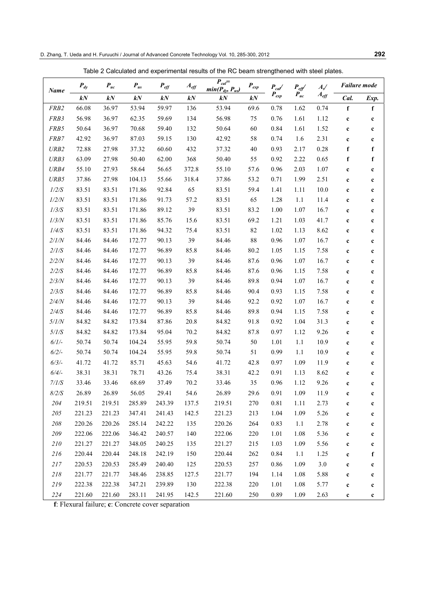| <b>Name</b>      | $P_{dy}$ | $P_{uc}$       | $P_{us}$ | $P_{\text{eff}}$ | $A_{\text{eff}}$ | $P_{cal}$<br>$min(P_{dy}, P_{us})$ | $P_{exp}$ | $P_{cal}$ | $P_{\text{eff}}$ | $A_{s}$       | <b>Failure</b> mode |             |
|------------------|----------|----------------|----------|------------------|------------------|------------------------------------|-----------|-----------|------------------|---------------|---------------------|-------------|
|                  | kN       | $k\mathcal{N}$ | kN       | kN               | kN               | kN                                 | kN        | $P_{exp}$ | $P_{uc}$         | $A_{e\!f\!f}$ | Cal.                | Exp.        |
| FRB <sub>2</sub> | 66.08    | 36.97          | 53.94    | 59.97            | 136              | 53.94                              | 69.6      | 0.78      | 1.62             | 0.74          | f                   | f           |
| FRB3             | 56.98    | 36.97          | 62.35    | 59.69            | 134              | 56.98                              | 75        | 0.76      | 1.61             | 1.12          | $\mathbf c$         | c           |
| FRB5             | 50.64    | 36.97          | 70.68    | 59.40            | 132              | 50.64                              | 60        | 0.84      | 1.61             | 1.52          | c                   | $\mathbf c$ |
| FRB7             | 42.92    | 36.97          | 87.03    | 59.15            | 130              | 42.92                              | 58        | 0.74      | 1.6              | 2.31          | c                   | c           |
| URB <sub>2</sub> | 72.88    | 27.98          | 37.32    | 60.60            | 432              | 37.32                              | 40        | 0.93      | 2.17             | 0.28          | f                   | f           |
| URB3             | 63.09    | 27.98          | 50.40    | 62.00            | 368              | 50.40                              | 55        | 0.92      | 2.22             | 0.65          | f                   | f           |
| URB4             | 55.10    | 27.93          | 58.64    | 56.65            | 372.8            | 55.10                              | 57.6      | 0.96      | 2.03             | 1.07          | $\mathbf c$         | $\mathbf c$ |
| URB5             | 37.86    | 27.98          | 104.13   | 55.66            | 318.4            | 37.86                              | 53.2      | 0.71      | 1.99             | 2.51          | c                   | $\mathbf c$ |
| 1/2/S            | 83.51    | 83.51          | 171.86   | 92.84            | 65               | 83.51                              | 59.4      | 1.41      | 1.11             | 10.0          | c                   | $\mathbf c$ |
| 1/2/N            | 83.51    | 83.51          | 171.86   | 91.73            | 57.2             | 83.51                              | 65        | 1.28      | 1.1              | 11.4          | $\mathbf c$         | $\mathbf c$ |
| 1/3/S            | 83.51    | 83.51          | 171.86   | 89.12            | 39               | 83.51                              | 83.2      | 1.00      | 1.07             | 16.7          | c                   | $\mathbf c$ |
| 1/3/N            | 83.51    | 83.51          | 171.86   | 85.76            | 15.6             | 83.51                              | 69.2      | 1.21      | 1.03             | 41.7          | c                   | $\mathbf c$ |
| 1/4/S            | 83.51    | 83.51          | 171.86   | 94.32            | 75.4             | 83.51                              | 82        | 1.02      | 1.13             | 8.62          | $\mathbf c$         | $\mathbf c$ |
| 2/1/N            | 84.46    | 84.46          | 172.77   | 90.13            | 39               | 84.46                              | 88        | 0.96      | 1.07             | 16.7          | c                   | $\mathbf c$ |
| 2/1/S            | 84.46    | 84.46          | 172.77   | 96.89            | 85.8             | 84.46                              | 80.2      | 1.05      | 1.15             | 7.58          | c                   | c           |
| 2/2/N            | 84.46    | 84.46          | 172.77   | 90.13            | 39               | 84.46                              | 87.6      | 0.96      | 1.07             | 16.7          | c                   | $\mathbf c$ |
| 2/2/S            | 84.46    | 84.46          | 172.77   | 96.89            | 85.8             | 84.46                              | 87.6      | 0.96      | 1.15             | 7.58          | $\mathbf c$         | c           |
| 2/3/N            | 84.46    | 84.46          | 172.77   | 90.13            | 39               | 84.46                              | 89.8      | 0.94      | 1.07             | 16.7          | $\mathbf c$         | $\mathbf c$ |
| 2/3/S            | 84.46    | 84.46          | 172.77   | 96.89            | 85.8             | 84.46                              | 90.4      | 0.93      | 1.15             | 7.58          | c                   | $\mathbf c$ |
| 2/4/N            | 84.46    | 84.46          | 172.77   | 90.13            | 39               | 84.46                              | 92.2      | 0.92      | 1.07             | 16.7          | c                   | $\mathbf c$ |
| 2/4/S            | 84.46    | 84.46          | 172.77   | 96.89            | 85.8             | 84.46                              | 89.8      | 0.94      | 1.15             | 7.58          | $\mathbf c$         | c           |
| 5/1/N            | 84.82    | 84.82          | 173.84   | 87.86            | 20.8             | 84.82                              | 91.8      | 0.92      | 1.04             | 31.3          | c                   | $\mathbf c$ |
| 5/1/S            | 84.82    | 84.82          | 173.84   | 95.04            | 70.2             | 84.82                              | 87.8      | 0.97      | 1.12             | 9.26          | c                   | $\mathbf c$ |
| $6/1/-$          | 50.74    | 50.74          | 104.24   | 55.95            | 59.8             | 50.74                              | 50        | 1.01      | 1.1              | 10.9          | $\mathbf c$         | c           |
| $6/2/-$          | 50.74    | 50.74          | 104.24   | 55.95            | 59.8             | 50.74                              | 51        | 0.99      | 1.1              | 10.9          | c                   | $\mathbf c$ |
| $6/3/$ -         | 41.72    | 41.72          | 85.71    | 45.63            | 54.6             | 41.72                              | 42.8      | 0.97      | 1.09             | 11.9          | $\mathbf c$         | c           |
| $6/4/-$          | 38.31    | 38.31          | 78.71    | 43.26            | 75.4             | 38.31                              | 42.2      | 0.91      | 1.13             | 8.62          | $\mathbf c$         | $\mathbf c$ |
| 7/1/S            | 33.46    | 33.46          | 68.69    | 37.49            | 70.2             | 33.46                              | 35        | 0.96      | 1.12             | 9.26          | $\mathbf c$         | $\mathbf c$ |
| 8/2/S            | 26.89    | 26.89          | 56.05    | 29.41            | 54.6             | 26.89                              | 29.6      | 0.91      | 1.09             | 11.9          | c                   | c           |
| 204              | 219.51   | 219.51         | 285.89   | 243.39           | 137.5            | 219.51                             | 270       | 0.81      | 1.11             | 2.73          | c                   | $\mathbf c$ |
| 205              | 221.23   | 221.23         | 347.41   | 241.43           | 142.5            | 221.23                             | 213       | 1.04      | 1.09             | 5.26          | $\mathbf c$         | $\mathbf c$ |
| 208              | 220.26   | 220.26         | 285.14   | 242.22           | 135              | 220.26                             | 264       | 0.83      | 1.1              | 2.78          | $\mathbf c$         | $\mathbf c$ |
| 209              | 222.06   | 222.06         | 346.42   | 240.57           | 140              | 222.06                             | 220       | 1.01      | 1.08             | 5.36          | $\mathbf c$         | c           |
| 210              | 221.27   | 221.27         | 348.05   | 240.25           | 135              | 221.27                             | 215       | 1.03      | 1.09             | 5.56          | $\mathbf c$         | c           |
| 216              | 220.44   | 220.44         | 248.18   | 242.19           | 150              | 220.44                             | 262       | 0.84      | 1.1              | 1.25          | $\mathbf c$         | f           |
| $217\,$          | 220.53   | 220.53         | 285.49   | 240.40           | 125              | 220.53                             | 257       | 0.86      | 1.09             | 3.0           | $\mathbf c$         | $\mathbf c$ |
| $218\,$          | 221.77   | 221.77         | 348.46   | 238.85           | 127.5            | 221.77                             | 194       | 1.14      | 1.08             | 5.88          | $\mathbf c$         | $\mathbf c$ |
| 219              | 222.38   | 222.38         | 347.21   | 239.89           | 130              | 222.38                             | 220       | 1.01      | 1.08             | 5.77          | $\mathbf c$         | $\mathbf c$ |
| 224              | 221.60   | 221.60         | 283.11   | 241.95           | 142.5            | 221.60                             | 250       | 0.89      | 1.09             | 2.63          | c                   | $\mathbf c$ |

Table 2 Calculated and experimental results of the RC beam strengthened with steel plates.

 **f**: Flexural failure; **c**: Concrete cover separation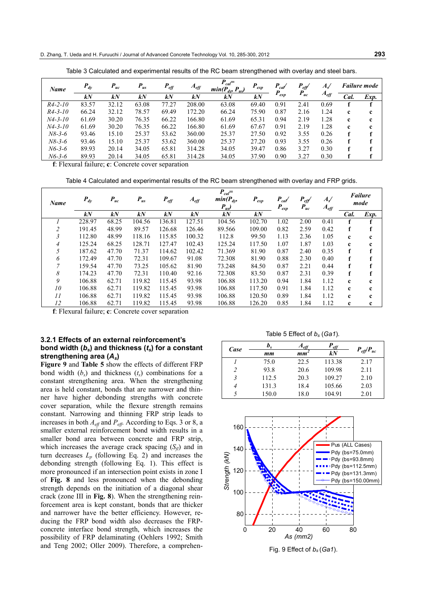| <b>Name</b>   | $P_{dy}$ | $P_{uc}$ | $P_{us}$ | $P_{\textit{eff}}$ | $A_{\text{eff}}$ | $P_{cal}$<br>$min(P_{dy}, P_{us})$ | $P_{exp}$ | $P_{ca}$       | $P_{\text{eff}}$ | $A_{\bullet}$    |              | <b>Failure mode</b> |
|---------------|----------|----------|----------|--------------------|------------------|------------------------------------|-----------|----------------|------------------|------------------|--------------|---------------------|
|               | kN       | kN       | kN       | kN                 | kN               | kN                                 | kN        | $\bm{P}_{exp}$ | $P_{uc}$         | $A_{\text{eff}}$ | Cal.         | Exp.                |
| $R4 - 2 - 10$ | 83.57    | 32.12    | 63.08    | 77.27              | 208.00           | 63.08                              | 69.40     | 0.91           | 2.41             | 0.69             |              |                     |
| $R$ 4-3-10    | 66.24    | 32.12    | 78.57    | 69.49              | 172.20           | 66.24                              | 75.90     | 0.87           | 2.16             | 1.24             | c            | c                   |
| $N4 - 3 - 10$ | 61.69    | 30.20    | 76.35    | 66.22              | 166.80           | 61.69                              | 65.31     | 0.94           | 2.19             | 1.28             | c            | c                   |
| $N4 - 3 - 10$ | 61.69    | 30.20    | 76.35    | 66.22              | 166.80           | 61.69                              | 67.67     | 0.91           | 2.19             | 1.28             | $\mathbf{c}$ | c                   |
| N8-3-6        | 93.46    | 15.10    | 25.37    | 53.62              | 360.00           | 25.37                              | 27.50     | 0.92           | 3.55             | 0.26             |              |                     |
| N8-3-6        | 93.46    | 15.10    | 25.37    | 53.62              | 360.00           | 25.37                              | 27.20     | 0.93           | 3.55             | 0.26             |              |                     |
| N6-3-6        | 89.93    | 20.14    | 34.05    | 65.81              | 314.28           | 34.05                              | 39.47     | 0.86           | 3.27             | 0.30             |              |                     |
| $N6 - 3 - 6$  | 89.93    | 20.14    | 34.05    | 65.81              | 314.28           | 34.05                              | 37.90     | 0.90           | 3.27             | 0.30             |              |                     |

Table 3 Calculated and experimental results of the RC beam strengthened with overlay and steel bars.

 **f**: Flexural failure; **c**: Concrete cover separation

Table 4 Calculated and experimental results of the RC beam strengthened with overlay and FRP grids.

| <b>Name</b>    | $P_{dy}$ | $P_{uc}$ | $P_{us}$ | $P_{\textit{eff}}$ | $A_{\it eff}$ | $P_{cal}$<br>$min(P_{dy}$<br>$P_{us}$ | $P_{exp}$ | $P_{cal}$<br>$P_{exp}$ | $P_{\text{eff}}$<br>$P_{uc}$ | $A_{s'}$<br>$A_{\it eff}$ |             | <b>Failure</b><br>mode |
|----------------|----------|----------|----------|--------------------|---------------|---------------------------------------|-----------|------------------------|------------------------------|---------------------------|-------------|------------------------|
|                | kN       | kN       | kN       | kN                 | kN            | kN                                    | kN        |                        |                              |                           | Cal.        | Exp.                   |
|                | 228.97   | 68.25    | 104.56   | 136.81             | 127.51        | 104.56                                | 102.70    | 1.02                   | 2.00                         | 0.41                      |             |                        |
| 2              | 191.45   | 48.99    | 89.57    | 126.68             | 126.46        | 89.566                                | 109.00    | 0.82                   | 2.59                         | 0.42                      | f           |                        |
| 3              | 112.80   | 48.99    | 118.16   | 115.85             | 100.32        | 112.8                                 | 99.50     | 1.13                   | 2.36                         | 1.05                      | c           | $\mathbf c$            |
| $\overline{4}$ | 125.24   | 68.25    | 128.71   | 127.47             | 102.43        | 125.24                                | 117.50    | 1.07                   | 1.87                         | 1.03                      | $\mathbf c$ | $\mathbf c$            |
|                | 187.62   | 47.70    | 71.37    | 114.62             | 102.42        | 71.369                                | 81.90     | 0.87                   | 2.40                         | 0.35                      | f           |                        |
| 6              | 172.49   | 47.70    | 72.31    | 109.67             | 91.08         | 72.308                                | 81.90     | 0.88                   | 2.30                         | 0.40                      | f           |                        |
|                | 159.54   | 47.70    | 73.25    | 105.62             | 81.90         | 73.248                                | 84.50     | 0.87                   | 2.21                         | 0.44                      | f           |                        |
| 8              | 174.23   | 47.70    | 72.31    | 110.40             | 92.16         | 72.308                                | 83.50     | 0.87                   | 2.31                         | 0.39                      | f           | £                      |
| 9              | 106.88   | 62.71    | 119.82   | 115.45             | 93.98         | 106.88                                | 113.20    | 0.94                   | 1.84                         | 1.12                      | $\mathbf c$ | $\mathbf c$            |
| 10             | 106.88   | 62.71    | 119.82   | 115.45             | 93.98         | 106.88                                | 117.50    | 0.91                   | 1.84                         | 1.12                      | $\mathbf c$ | $\mathbf c$            |
| 11             | 106.88   | 62.71    | 119.82   | 115.45             | 93.98         | 106.88                                | 120.50    | 0.89                   | 1.84                         | 1.12                      | c           | $\mathbf c$            |
| 12             | 106.88   | 62.71    | 119.82   | 115.45             | 93.98         | 106.88                                | 126.20    | 0.85                   | 1.84                         | 1.12                      | c           | $\mathbf c$            |

 **f**: Flexural failure; **c**: Concrete cover separation

#### **3.2.1 Effects of an external reinforcement's bond width (***bs***) and thickness (***ts***) for a constant strengthening area (***As***)**

**Figure 9** and **Table 5** show the effects of different FRP bond width  $(b<sub>s</sub>)$  and thickness  $(t<sub>s</sub>)$  combinations for a constant strengthening area. When the strengthening area is held constant, bonds that are narrower and thinner have higher debonding strengths with concrete cover separation, while the flexure strength remains constant. Narrowing and thinning FRP strip leads to increases in both *Aeff* and *Peff*. According to Eqs. 3 or 8, a smaller external reinforcement bond width results in a smaller bond area between concrete and FRP strip, which increases the average crack spacing  $(S_f)$  and in turn decreases  $L_p$  (following Eq. 2) and increases the debonding strength (following Eq. 1). This effect is more pronounced if an intersection point exists in zone I of **Fig. 8** and less pronounced when the debonding strength depends on the initiation of a diagonal shear crack (zone III in **Fig. 8**). When the strengthening reinforcement area is kept constant, bonds that are thicker and narrower have the better efficiency. However, reducing the FRP bond width also decreases the FRPconcrete interface bond strength, which increases the possibility of FRP delaminating (Oehlers 1992; Smith and Teng 2002; Oller 2009). Therefore, a comprehen-

Table 5 Effect of *bs* (*Ga1*).

|                         | b,    | $A_{\textit{eff}}$ | $\boldsymbol{P}_{\!textrm{eff}}$ |                                |
|-------------------------|-------|--------------------|----------------------------------|--------------------------------|
| Case                    | mm    | mm <sup>-</sup>    | kN                               | $P_{\text{eff}}/P_{\text{uc}}$ |
|                         | 75.0  | 22.5               | 113.38                           | 2.17                           |
| $\overline{c}$          | 93.8  | 20.6               | 109.98                           | 2.11                           |
| $\overline{\mathbf{3}}$ | 112.5 | 20.3               | 109.27                           | 2.10                           |
| 4                       | 131.3 | 18.4               | 105.66                           | 2.03                           |
|                         | 150.0 | 18.0               | 104.91                           | 2.01                           |



Fig. 9 Effect of *bs* (*Ga1*).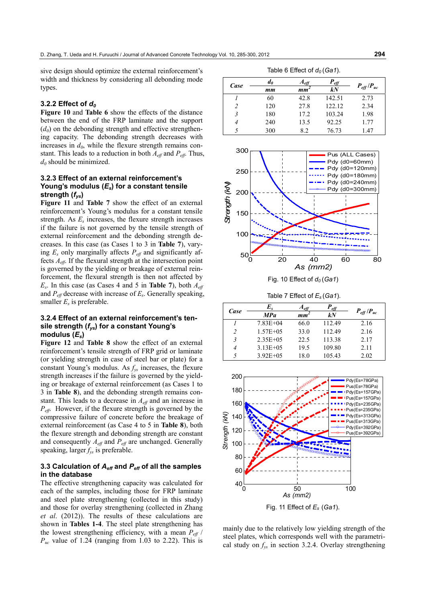sive design should optimize the external reinforcement's width and thickness by considering all debonding mode types.

#### **3.2.2 Effect of**  $d_0$

**Figure 10** and **Table 6** show the effects of the distance between the end of the FRP laminate and the support  $(d_0)$  on the debonding strength and effective strengthening capacity. The debonding strength decreases with increases in  $d_0$ , while the flexure strength remains constant. This leads to a reduction in both  $A_{\text{eff}}$  and  $P_{\text{eff}}$ . Thus,  $d_0$  should be minimized.

### **3.2.3 Effect of an external reinforcement's Young's modulus (***Es***) for a constant tensile strength (***fys***)**

**Figure 11** and **Table 7** show the effect of an external reinforcement's Young's modulus for a constant tensile strength. As *Es* increases, the flexure strength increases if the failure is not governed by the tensile strength of external reinforcement and the debonding strength decreases. In this case (as Cases 1 to 3 in **Table 7**), varying  $E_s$  only marginally affects  $P_{\text{eff}}$  and significantly affects *Aeff*. If the flexural strength at the intersection point is governed by the yielding or breakage of external reinforcement, the flexural strength is then not affected by  $E_s$ . In this case (as Cases 4 and 5 in **Table 7**), both  $A_{\text{eff}}$ and *Peff* decrease with increase of *Es*. Generally speaking, smaller  $E_s$  is preferable.

## **3.2.4 Effect of an external reinforcement's tensile strength (***fys***) for a constant Young's modulus (***Es***)**

**Figure 12** and **Table 8** show the effect of an external reinforcement's tensile strength of FRP grid or laminate (or yielding strength in case of steel bar or plate) for a constant Young's modulus. As *fys* increases, the flexure strength increases if the failure is governed by the yielding or breakage of external reinforcement (as Cases 1 to 3 in **Table 8**), and the debonding strength remains constant. This leads to a decrease in *Aeff* and an increase in *Peff*. However, if the flexure strength is governed by the compressive failure of concrete before the breakage of external reinforcement (as Case 4 to 5 in **Table 8**), both the flexure strength and debonding strength are constant and consequently *Aeff* and *Peff* are unchanged. Generally speaking, larger  $f_{vs}$  is preferable.

### **3.3 Calculation of** *Aeff* **and** *Peff* **of all the samples in the database**

The effective strengthening capacity was calculated for each of the samples, including those for FRP laminate and steel plate strengthening (collected in this study) and those for overlay strengthening (collected in Zhang *et al*. (2012)). The results of these calculations are shown in **Tables 1-4**. The steel plate strengthening has the lowest strengthening efficiency, with a mean  $P_{\text{eff}}$  /  $P_{uc}$  value of 1.24 (ranging from 1.03 to 2.22). This is

Table 6 Effect of  $d_0$  (Ga1).

| Case                    | $d_{\theta}$ | $A_{\textit{eff}}$ | $_{\textit{eff}}$ |                                |
|-------------------------|--------------|--------------------|-------------------|--------------------------------|
|                         | mm           | mm                 | kN                | $P_{\text{eff}}/P_{\text{uc}}$ |
|                         | 60           | 42.8               | 142.51            | 2.73                           |
| $\overline{c}$          | 120          | 27.8               | 122.12            | 2.34                           |
| $\overline{\mathbf{3}}$ | 180          | 17.2               | 103.24            | 1.98                           |
|                         | 240          | 13.5               | 92.25             | 1.77                           |
| 5                       | 300          | 82                 | 76.73             | 1.47                           |



Table 7 Effect of *Es* (*Ga1*).

| Case           | E.            | $A_{eff}$ | $_{eff}$ |                                |
|----------------|---------------|-----------|----------|--------------------------------|
|                | <b>MPa</b>    | mm        | kN       | $P_{\text{eff}}/P_{\text{uc}}$ |
|                | $7.83E + 04$  | 66.0      | 112.49   | 2.16                           |
| $\overline{c}$ | $1.57E + 0.5$ | 33.0      | 112.49   | 2.16                           |
| 3              | $2.35E + 0.5$ | 22.5      | 113.38   | 2.17                           |
| 4              | $3.13E + 05$  | 19.5      | 109.80   | 2.11                           |
| 5              | $3.92E + 0.5$ | 18.0      | 105.43   | 2.02                           |



mainly due to the relatively low yielding strength of the steel plates, which corresponds well with the parametrical study on  $f_{\text{vs}}$  in section 3.2.4. Overlay strengthening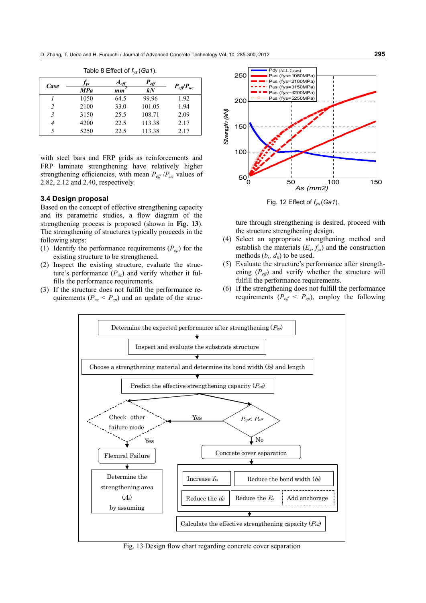Table 8 Effect of *fys* (*Ga1*). *fys Aeff Peff Case MPa mm<sup>2</sup>*  $\frac{P_{\text{eff}}}{kN}$   $P_{\text{eff}}/P_{\text{uc}}$ *1* 1050 64.5 99.96 1.92 *2* 2100 33.0 101.05 1.94 *3* 3150 25.5 108.71 2.09 *4* 4200 22.5 113.38 2.17 *5* 5250 22.5 113.38 2.17

with steel bars and FRP grids as reinforcements and FRP laminate strengthening have relatively higher strengthening efficiencies, with mean  $P_{\text{eff}}$  / $P_{\mu c}$  values of 2.82, 2.12 and 2.40, respectively.

#### **3.4 Design proposal**

Based on the concept of effective strengthening capacity and its parametric studies, a flow diagram of the strengthening process is proposed (shown in **Fig. 13**). The strengthening of structures typically proceeds in the following steps:

- (1) Identify the performance requirements  $(P_{en})$  for the existing structure to be strengthened.
- (2) Inspect the existing structure, evaluate the structure's performance  $(P_{uc})$  and verify whether it fulfills the performance requirements.
- (3) If the structure does not fulfill the performance requirements ( $P_{uc} < P_{ep}$ ) and an update of the struc-



Fig. 12 Effect of *fys* (*Ga1*).

ture through strengthening is desired, proceed with the structure strengthening design.

- (4) Select an appropriate strengthening method and establish the materials  $(E_s, f_{ys})$  and the construction methods  $(b_s, d_0)$  to be used.
- (5) Evaluate the structure's performance after strengthening (*Peff*) and verify whether the structure will fulfill the performance requirements.
- (6) If the strengthening does not fulfill the performance requirements  $(P_{\text{eff}} < P_{\text{ep}})$ , employ the following



Fig. 13 Design flow chart regarding concrete cover separation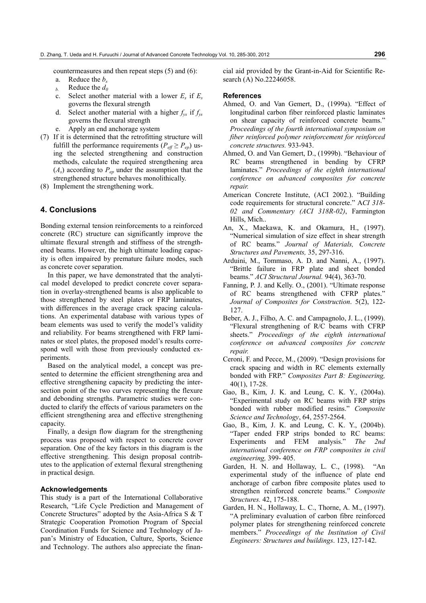countermeasures and then repeat steps (5) and (6):

- a. Reduce the *bs*
- $b<sub>b</sub>$  Reduce the  $d<sub>0</sub>$
- c. Select another material with a lower *Es* if *Es* governs the flexural strength
- d. Select another material with a higher  $f_{ys}$  if  $f_{ys}$ governs the flexural strength
- e. Apply an end anchorage system
- (7) If it is determined that the retrofitting structure will fulfill the performance requirements ( $P_{\text{eff}} \geq P_{\text{ep}}$ ) using the selected strengthening and construction methods, calculate the required strengthening area  $(A<sub>s</sub>)$  according to  $P<sub>en</sub>$  under the assumption that the strengthened structure behaves monolithically.
- (8) Implement the strengthening work.

# **4. Conclusions**

Bonding external tension reinforcements to a reinforced concrete (RC) structure can significantly improve the ultimate flexural strength and stiffness of the strengthened beams. However, the high ultimate loading capacity is often impaired by premature failure modes, such as concrete cover separation.

In this paper, we have demonstrated that the analytical model developed to predict concrete cover separation in overlay-strengthened beams is also applicable to those strengthened by steel plates or FRP laminates, with differences in the average crack spacing calculations. An experimental database with various types of beam elements was used to verify the model's validity and reliability. For beams strengthened with FRP laminates or steel plates, the proposed model's results correspond well with those from previously conducted experiments.

Based on the analytical model, a concept was presented to determine the efficient strengthening area and effective strengthening capacity by predicting the intersection point of the two curves representing the flexure and debonding strengths. Parametric studies were conducted to clarify the effects of various parameters on the efficient strengthening area and effective strengthening capacity.

Finally, a design flow diagram for the strengthening process was proposed with respect to concrete cover separation. One of the key factors in this diagram is the effective strengthening. This design proposal contributes to the application of external flexural strengthening in practical design.

#### **Acknowledgements**

This study is a part of the International Collaborative Research, "Life Cycle Prediction and Management of Concrete Structures" adopted by the Asia-Africa S & T Strategic Cooperation Promotion Program of Special Coordination Funds for Science and Technology of Japan's Ministry of Education, Culture, Sports, Science and Technology. The authors also appreciate the financial aid provided by the Grant-in-Aid for Scientific Research (A) No.22246058.

#### **References**

- Ahmed, O. and Van Gemert, D., (1999a). "Effect of longitudinal carbon fiber reinforced plastic laminates on shear capacity of reinforced concrete beams." *Proceedings of the fourth international symposium on fiber reinforced polymer reinforcement for reinforced concrete structures.* 933-943.
- Ahmed, O. and Van Gemert, D., (1999b). "Behaviour of RC beams strengthened in bending by CFRP laminates." *Proceedings of the eighth international conference on advanced composites for concrete repair.*
- American Concrete Institute, (ACI 2002.). "Building code requirements for structural concrete." A*CI 318- 02 and Commentary (ACI 318R-02)*, Farmington Hills, Mich..
- An, X., Maekawa, K. and Okamura, H., (1997). "Numerical simulation of size effect in shear strength of RC beams." *Journal of Materials, Concrete Structures and Pavements,* 35, 297-316.
- Arduini, M., Tommaso, A. D. and Nanni, A., (1997). "Brittle failure in FRP plate and sheet bonded beams." *ACI Structural Journal.* 94(4), 363-70.
- Fanning, P. J. and Kelly. O., (2001). "Ultimate response of RC beams strengthened with CFRP plates." *Journal of Composites for Construction*. 5(2), 122- 127.
- Beber, A. J., Filho, A. C. and Campagnolo, J. L., (1999). "Flexural strengthening of R/C beams with CFRP sheets." *Proceedings of the eighth international conference on advanced composites for concrete repair.*
- Ceroni, F. and Pecce, M., (2009). "Design provisions for crack spacing and width in RC elements externally bonded with FRP." *Composites Part B: Engineering,* 40(1), 17-28.
- Gao, B., Kim, J. K. and Leung, C. K. Y., (2004a). "Experimental study on RC beams with FRP strips bonded with rubber modified resins." *Composite Science and Technology*, 64, 2557-2564.
- Gao, B., Kim, J. K. and Leung, C. K. Y., (2004b). "Taper ended FRP strips bonded to RC beams: Experiments and FEM analysis." *The 2nd international conference on FRP composites in civil engineering,* 399- 405.
- Garden, H. N. and Hollaway, L. C., (1998). "An experimental study of the influence of plate end anchorage of carbon fibre composite plates used to strengthen reinforced concrete beams." *Composite Structures.* 42, 175-188.
- Garden, H. N., Hollaway, L. C., Thorne, A. M., (1997). "A preliminary evaluation of carbon fibre reinforced polymer plates for strengthening reinforced concrete members." *Proceedings of the Institution of Civil Engineers: Structures and buildings*. 123, 127-142.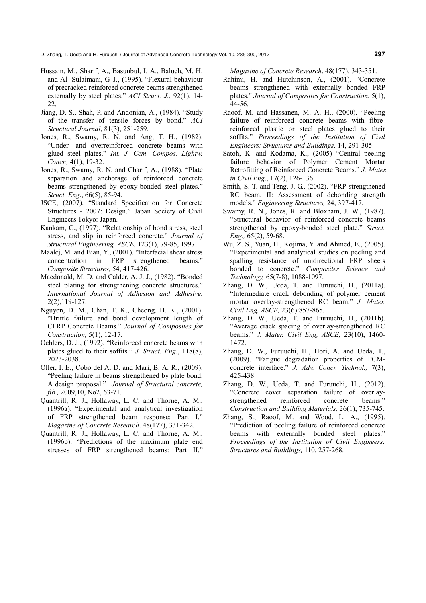- Hussain, M., Sharif, A., Basunbul, I. A., Baluch, M. H. and Al- Sulaimani, G. J., (1995). "Flexural behaviour of precracked reinforced concrete beams strengthened externally by steel plates." *ACI Struct. J.*, 92(1), 14- 22.
- Jiang, D. S., Shah, P. and Andonian, A., (1984). "Study of the transfer of tensile forces by bond." *ACI Structural Journal*, 81(3), 251-259.
- Jones, R., Swamy, R. N. and Ang, T. H., (1982). "Under- and overreinforced concrete beams with glued steel plates." *Int. J. Cem. Compos. Lightw. Concr.,* 4(1), 19-32.
- Jones, R., Swamy, R. N. and Charif, A., (1988). "Plate separation and anchorage of reinforced concrete beams strengthened by epoxy-bonded steel plates." *Struct. Eng*., 66(5), 85-94.
- JSCE, (2007). "Standard Specification for Concrete Structures - 2007: Design." Japan Society of Civil Engineers Tokyo: Japan.
- Kankam, C., (1997). "Relationship of bond stress, steel stress, and slip in reinforced concrete." *Journal of Structural Engineering, ASCE,* 123(1), 79-85, 1997.
- Maalej, M. and Bian, Y., (2001). "Interfacial shear stress concentration in FRP strengthened beams." *Composite Structures,* 54, 417-426.
- Macdonald, M. D. and Calder, A. J. J., (1982). "Bonded steel plating for strengthening concrete structures." *International Journal of Adhesion and Adhesive*, 2(2),119-127.
- Nguyen, D. M., Chan, T. K., Cheong. H. K., (2001). "Brittle failure and bond development length of CFRP Concrete Beams." *Journal of Composites for Construction,* 5(1), 12-17.
- Oehlers, D. J., (1992). "Reinforced concrete beams with plates glued to their soffits." *J. Struct. Eng*., 118(8), 2023-2038.
- Oller, I. E., Cobo del A. D. and Mari, B. A. R., (2009). "Peeling failure in beams strengthened by plate bond. A design proposal." *Journal of Structural concrete, fib ,* 2009,10, No2, 63-71.
- Quantrill, R. J., Hollaway, L. C. and Thorne, A. M., (1996a). "Experimental and analytical investigation of FRP strengthened beam response: Part I." *Magazine of Concrete Research*. 48(177), 331-342.
- Quantrill, R. J., Hollaway, L. C. and Thorne, A. M., (1996b). "Predictions of the maximum plate end stresses of FRP strengthened beams: Part II."

*Magazine of Concrete Research*. 48(177), 343-351.

- Rahimi, H. and Hutchinson, A., (2001). "Concrete beams strengthened with externally bonded FRP plates." *Journal of Composites for Construction*, 5(1), 44-56.
- Raoof, M. and Hassanen, M. A. H., (2000). "Peeling failure of reinforced concrete beams with fibrereinforced plastic or steel plates glued to their soffits." *Proceedings of the Institution of Civil Engineers: Structures and Buildings,* 14, 291-305.
- Satoh, K. and Kodama, K., (2005) "Central peeling failure behavior of Polymer Cement Mortar Retrofitting of Reinforced Concrete Beams." *J. Mater. in Civil Eng*., 17(2), 126-136.
- Smith, S. T. and Teng, J. G., (2002). "FRP-strengthened RC beam. II: Assessment of debonding strength models." *Engineering Structures,* 24, 397-417.
- Swamy, R. N., Jones, R. and Bloxham, J. W., (1987). "Structural behavior of reinforced concrete beams strengthened by epoxy-bonded steel plate." *Struct. Eng.,* 65(2), 59-68.
- Wu, Z. S., Yuan, H., Kojima, Y. and Ahmed, E., (2005). "Experimental and analytical studies on peeling and spalling resistance of unidirectional FRP sheets bonded to concrete." *Composites Science and Technology,* 65(7-8), 1088-1097.
- Zhang, D. W., Ueda, T. and Furuuchi, H., (2011a). "Intermediate crack debonding of polymer cement mortar overlay-strengthened RC beam." *J. Mater. Civil Eng, ASCE,* 23(6):857-865.
- Zhang, D. W., Ueda, T. and Furuuchi, H., (2011b). "Average crack spacing of overlay-strengthened RC beams." *J. Mater. Civil Eng, ASCE,* 23(10), 1460- 1472.
- Zhang, D. W., Furuuchi, H., Hori, A. and Ueda, T., (2009). "Fatigue degradation properties of PCMconcrete interface." *J. Adv. Concr. Technol.,* 7(3), 425-438.
- Zhang, D. W., Ueda, T. and Furuuchi, H., (2012). "Concrete cover separation failure of overlaystrengthened reinforced concrete beams." *Construction and Building Materials,* 26(1), 735-745.
- Zhang, S., Raoof, M. and Wood, L. A., (1995). "Prediction of peeling failure of reinforced concrete beams with externally bonded steel plates." *Proceedings of the Institution of Civil Engineers: Structures and Buildings,* 110, 257-268.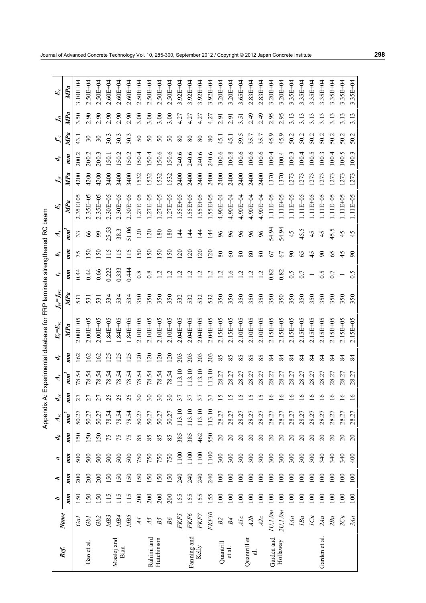|                    |                 |                  |                  |      |                  |                 |                       |                 |                 | Appendix A: Experimental database for FRP laminate strengthened RC beam |                               |                 |                    |                |                |      |                   |                          |          |              |
|--------------------|-----------------|------------------|------------------|------|------------------|-----------------|-----------------------|-----------------|-----------------|-------------------------------------------------------------------------|-------------------------------|-----------------|--------------------|----------------|----------------|------|-------------------|--------------------------|----------|--------------|
| Ref.               |                 | s                | z                | e    | $\boldsymbol{f}$ | ٩r<br>م         | $\boldsymbol{d}_{rc}$ | 4,              | ď,              | $E_r = E_{rc}$                                                          | $f_{\rm yr}$ = $f_{\rm yr c}$ | $\mathbf{r}_s$  | $\boldsymbol{b}_s$ | Ą,             | $\mathbf{E}_s$ |      | Ą,                | $f_c$                    | $f_{ct}$ | $E_c$        |
|                    | Name            | mm               | mm               | mm   | mm               | mm <sup>2</sup> | mm                    | mm <sup>2</sup> | mm              | MPa                                                                     | MPa                           | mm              | mm                 | $mm^2$         | MPa            | MPa  | $\boldsymbol{mn}$ | MPa                      | MPa      | MPa          |
|                    | Gal             | 150              | $\approx$        | 500  | $\overline{50}$  | 50.27           | $\frac{27}{27}$       | 78.54           | 162             | $2.00E + 0.5$                                                           | 531                           | 0.44            | 75                 | 33             | $2.35E + 05$   | 4200 | 200.2             | 43.1                     | 3.50     | $3.10E+04$   |
| Gao et al          | Gb <sub>1</sub> | <b>150</b>       | 200              | 500  | $\overline{50}$  | 50.27           |                       | 78.54           | 162             | $2.00E + 0.5$                                                           | 531                           | 0.44            | 50                 | $\delta$       | $2.35E + 05$   | 4200 | 200.2             | $\overline{\mathbf{30}}$ | 2.90     | $2.50E+04$   |
|                    | Gb <sub>2</sub> | <b>SO</b>        | 200              | 500  | <b>SO</b>        | 50.27           | $\overline{ }$        | 78.54           | 162             | $2.00E + 05$                                                            | 531                           | 0.66            | 50                 | $^{66}$        | $2.35E + 05$   | 4200 | 200.3             | 30                       | 2.90     | $2.50E + 04$ |
|                    | MB3             | 115              | 150              | 500  | 75               | 78.54           | 5                     | 78.54           | 125             | $1.84E + 05$                                                            | 534                           | 0.222           |                    | 25.53          | $2.30E + 0.5$  | 3400 | 150.1             | 30.3                     | 2.90     | $2.60E + 04$ |
| Maalej and<br>Bian | MB4             | 115              | 150              | 500  | 75               | 78.54           | 5                     | 78.54           | 125             | $-84E+05$                                                               | 534                           | 0.333           |                    | 38.3           | $2.30E + 05$   | 3400 | 150.2             | 30.3                     | 2.90     | $2.60E + 04$ |
|                    | MB5             | 115              | 150              | 500  | 75               | 78.54           | S.                    | 78.54           | <b>125</b>      | 1.84E+05                                                                | 534                           | 0.444           | $\frac{5}{1}$      | 51.06          | $2.30E + 05$   | 3400 | 150.2             | 30.3                     | 2.90     | $2.60E + 04$ |
|                    | $\overline{44}$ | 200              | <b>150</b>       | 750  | 85               | 50.27           | 30                    | 78.54           | $\overline{20}$ | $2.10E + 0.5$                                                           | 350                           | $0.8\,$         | $\overline{50}$    | 120            | $.27E + 05$    | 1532 | 150.4             | $50\,$                   | 3.00     | $2.50E+04$   |
| Rahimi and         | 45              | 200              | 150              | 750  | 85               | 50.27           | RARARA E E E E E E    | 78.54           | $\overline{20}$ | $2.10E + 0.5$                                                           | 350                           | 0.8             | $\overline{.50}$   | 120            | $1.27E + 05$   | 1532 | 150.4             | $50\,$                   | 3.00     | $2.50E + 04$ |
| Hutchinson         | B5              | 200              | 150              | 750  | 85               | 50.27           |                       | 78.54           | 120             | $2.10E + 05$                                                            | 350                           | $\overline{12}$ | <b>150</b>         | 180            | $1.27E + 05$   | 1532 | 150.6             | $50\,$                   | 3.00     | $2.50E+04$   |
|                    | $B\delta$       | 200              | 150              | 750  | 85               | 50.27           |                       | 78.54           | 120             | $2.10E + 05$                                                            | 350                           | $\overline{c}$  | <b>150</b>         | 180            | $1.27E + 05$   | 1532 | 150.6             | $50\,$                   | 3.00     | $2.50E+04$   |
|                    | FKF5            | 155              | 240              | 1100 | 385              | 113.10          |                       | 113.10          | 203             | $2.04E + 05$                                                            | 532                           | $\overline{c}$  | 120                | $\frac{14}{4}$ | $L.55E+05$     | 2400 | 240.6             | $80\,$                   | 4.27     | $3.92E + 04$ |
| Fanning and        | FKF6            | 155              | 240              | 1100 | 385              | 113.10          |                       | 113.10          | 203             | $2.04E + 05$                                                            | 532                           | $\overline{a}$  | 120                | 144            | $1.55E+05$     | 2400 | 240.6             | $80\,$                   | 4.27     | $3.92E+04$   |
| Kelly              | FKF7            | 155              | 240              | 1100 | 462              | 113.10          |                       | 113.10          | 203             | $2.04E + 05$                                                            | 532                           | $\overline{c}$  | 120                | 144            | $.55E+05$      | 2400 | 240.6             | $80\,$                   | 4.27     | $3.92E+04$   |
|                    | FKF10           | 155              | 240              | 1100 | 550              | 113.10          |                       | 113.10          | 203             | $2.04E + 0.5$                                                           | 532                           | $\overline{c}$  | 120                | 144            | $.55E+05$      | 2400 | 240.6             | $\rm 80$                 | 4.27     | $3.92E+04$   |
| Quantrill          | $\mathcal{B}2$  | $\approx$        | 100              | 300  | $\overline{c}$   | 28.27           |                       | 28.27           | 85              | $2.15E + 0.5$                                                           | 350                           | $\overline{c}$  | $80\,$             | $96$           | 4.90E+04       | 2400 | $100.6\,$         | 45.1                     | 2.91     | $3.20E + 04$ |
| et al.             | B4              | $\overline{100}$ | 100              | 300  | $\overline{c}$   | 28.27           |                       | 28.27           | 85              | $2.15E+05$                                                              | 350                           | $\overline{16}$ | 60                 | $96$           | $4.90E + 04$   | 2400 | $100.8\,$         | 45.1                     | 2.91     | $3.20E + 04$ |
|                    | $_{A1c}$        | $\approx$        | 100              | 300  | $\overline{c}$   | 28.27           |                       | 28.27           | 85              | $2.10E + 05$                                                            | 350                           | $\overline{12}$ | 80                 | $96$           | 4.90E+04       | 2400 | $100.6\,$         | 59.5                     | 3.51     | $3.65E + 04$ |
| Quantrill et<br>ಸ  | 42b             | $\Xi$            | $\overline{100}$ | 300  | $\overline{c}$   | 28.27           |                       | 28.27           | 85              | $2.10E + 0.5$                                                           | 350                           | $\overline{1}$  | 80                 | $96$           | 4.90E+04       | 2400 | $100.6$           | 35.7                     | 2.49     | $2.83E + 04$ |
|                    | A2c             | $\epsilon$       | 100              | 300  | $\overline{c}$   | 28.27           |                       | 28.27           | 85              | $2.10E + 05$                                                            | 350                           | 1.2             | 80                 | $\delta$       | $4.90E + 04$   | 2400 | 100.6             | 35.7                     | 2.49     | $2.83E + 04$ |
| Garden and         | 1U,1.0m         | $\approx$        | 100              | 300  | $\overline{c}$   | 28.27           | $\circ$               | 28.27           | 84              | $2.15E + 05$                                                            | 350                           | 0.82            | 67                 | 54.94          | 1.11E+05       | 1370 | 100.4             | 45.9                     | 2.95     | $3.20E + 04$ |
| Hollaway           | 2U, I.0m        | $\geq$           | 100              | 300  | $\overline{c}$   | 28.27           | $\circ$               | 28.27           | 84              | $2.15E + 05$                                                            | 350                           | 0.82            | 67                 | 54.94          | $1.11E+05$     | 1370 | 100.4             | 45.9                     | 2.95     | $3.20E+04$   |
|                    | 14u             | $\approx$        | 100              | 300  | $\overline{c}$   | 28.27           |                       | 28.27           | 84              | $2.15E+05$                                                              | 350                           | 6.5             | $\mathcal{S}^0$    | 45             | 1.11E+05       | 1273 | 100.3             | 50.2                     | 3.13     | $3.35E+04$   |
|                    | IBu             | $\overline{100}$ | 100              | 300  | $\overline{c}$   | 28.27           |                       | 28.27           | 84              | $2.15E+05$                                                              | 350                           | 0.7             | 65                 | 45.5           | $1.11E+05$     | 1273 | 100.4             | 50.2                     | 3.13     | $3.35E+04$   |
|                    | IСu             | 100              | 100              | 300  | $\overline{c}$   | 28.27           |                       | 28.27           | 84              | $2.15E+05$                                                              | 350                           |                 | 45                 | 45             | $.11E+05$      | 1273 | 100.5             | 50.2                     | 3.13     | $3.35E+04$   |
| Garden et al       | 2Au             | $\geq$           | $\geq$           | 340  | $\overline{c}$   | 28.27           |                       | 28.27           |                 | $2.15E+05$                                                              | 350                           | 0.5             | $\infty$           | 45             | $1.11E + 0.5$  | 1273 | 100.3             | 50.2                     | 3.13     | $3.35E+04$   |
|                    | 2Bu             | $\approx$        | $\geq$           | 340  | $\overline{c}$   | 28.27           |                       | 28.27           | 84              | $2.15E + 05$                                                            | 350                           | 0.7             | 65                 | 45.5           | $.11E+05$      | 1273 | 100.4             | 50.2                     | 3.13     | $3.35E+04$   |
|                    | 2Cu             | 100              | 100              | 340  | $\Omega$         | 28.27           |                       | 28.27           | 84              | $2.15E + 05$                                                            | 350                           |                 | 45                 | 45             | 1.11E+05       | 1273 | 100.5             | 50.2                     | 3.13     | $3.35E + 04$ |
|                    | 3Au             | 100              | 100              | 400  | $\Omega$         | 28.27           |                       | 28.27           | 84              | $2.15E+05$                                                              | 350                           | 0.5             | $\infty$           | 45             | 1.11E+05       | 1273 | 100.3             | 50.2                     | 3.13     | $3.35E+04$   |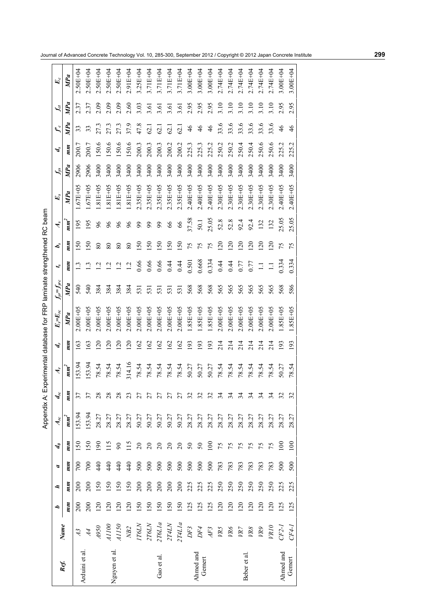|                     |                        |                 |     |                 |                 |                 | Appendix A: Exp       |                 |                 | erimental database for FRP laminate strengthened RC beam |                      |               |                  |          |              |      |       |               |      |              |
|---------------------|------------------------|-----------------|-----|-----------------|-----------------|-----------------|-----------------------|-----------------|-----------------|----------------------------------------------------------|----------------------|---------------|------------------|----------|--------------|------|-------|---------------|------|--------------|
| Ref.                | Name                   | b               | z.  | c               | ď,              | $A_{rc}$        | $\boldsymbol{d}_{rc}$ | 4,              | ď,              | $E_r = E_{rc}$                                           | $f_{yr}$ = $f_{yrc}$ | t,            | $b_{s}$          | र्नुं    | $E_{s}$      | وشم  | ď,    |               | Ja   | $E_c$        |
|                     |                        | mm              | mm  | mm              | mm              | mm <sup>2</sup> | mm                    | mm <sup>2</sup> | mm              | MPa                                                      | MPa                  | mm            | mm               | $mm^2$   | MPa          | MPa  | mm    | MPa           | MPa  | MPa          |
| Arduini et al       | $\overline{43}$        | 200             | 200 | 700             | 150             | 153.94          | 37                    | 53.94           | $\mathcal{S}$   | $2.00E + 05$                                             | 540                  |               | $\mathcal{S}$    | 195      | $-67E + 05$  | 2906 | 200.7 | 33            | 2.37 | $2.50E + 04$ |
|                     | 44                     | 200             | 200 | $\overline{00}$ | 50              | 153.94          |                       | 153.94          | 63              | $2.00E + 0.5$                                            | 540                  |               | $50^{\circ}$     | 195      | $.67E + 05$  | 2906 | 200.7 |               | 2.37 | $2.50E + 04$ |
|                     | $\sqrt{1950}$          | $\overline{20}$ | 150 | $rac{1}{4}$     | $\overline{5}$  | 28.27           | 28                    | 78.54           | $\overline{20}$ | $2.00E + 0.5$                                            | 384                  |               | 80               | $\delta$ | $.81E + 0.5$ | 3400 | 150.6 | 27.3          | 2.09 | $2.50E+04$   |
|                     | <b>0011P</b>           | $\overline{20}$ | 150 | $rac{4}{4}$     | $\frac{5}{1}$   | 28.27           | $^{28}$               | 78.54           | $\overline{20}$ | $2.00E + 0.5$                                            | 384                  |               | 80               | 96       | $.81E + 05$  | 3400 | 150.6 | 27.3          | 2.09 | $2.50E+04$   |
| Nguyen et al        | AI50                   | $\overline{20}$ | 150 | 440             | $\infty$        | 28.27           | 28                    | 78.54           | $\overline{20}$ | $2.00E + 0.5$                                            | 384                  | <u>ن</u>      | 80               | 96       | $.81E+05$    | 3400 | 150.6 | 27.3          | 2.09 | $2.50E+04$   |
|                     | NB2                    | $\overline{c}$  | 150 | 440             | $\frac{21}{11}$ | 28.27           |                       | 314.16          | $\overline{20}$ | $2.00E + 05$                                             | 384                  | $\frac{1}{2}$ | 80               | 96       | $-81E+05$    | 3400 | 150.6 | 37.9          | 2.60 | $2.91E+04$   |
|                     | <b>IT6LN</b>           | $50\,$          | 200 | 500             | $\overline{c}$  | 50.27           |                       | 78.54           | <u>85</u>       | $2.00E + 05$                                             | 531                  | 0.66          | 50               | 99       | $2.35E + 05$ | 3400 | 200.3 | 47.8          | 3.03 | $3.25E+04$   |
|                     | <b>2T6LN</b>           | $50\,$          | 200 | 500             | $\overline{c}$  | 50.27           |                       | 78.54           | <b>S</b>        | $2.00E + 05$                                             | 531                  | 0.66          | $\overline{.50}$ | 99       | $2.35E + 05$ | 3400 | 200.3 | 62.1          | 3.61 | $3.71E+04$   |
| Gao et al           | 2T6L1a                 | 150             | 200 | 500             | $\overline{c}$  | 50.27           | 27                    | 78.54           | <b>S2</b>       | $2.00E + 05$                                             | 531                  | 0.66          | 150              | 99       | $2.35E + 05$ | 3400 | 200.3 | 62.1          | 3.61 | 3.71E+04     |
|                     | <b>2T4LN</b>           | 150             | 200 | 500             | $\overline{c}$  | 50.27           |                       | 78.54           | 162             | $2.00E + 05$                                             | 531                  | 0.44          | 150              | $\delta$ | $2.35E+05$   | 3400 | 200.2 | 62.1          | 3.61 | 3.71E+04     |
|                     | 2T4L1a                 | 150             | 200 | 500             | $\Omega$        | 50.27           |                       | 78.54           | 62              | $2.00E + 05$                                             | 531                  | 0.44          | 150              | $\delta$ | $2.35E + 05$ | 3400 | 200.2 | 62.1          | 3.61 | $3.71E+04$   |
|                     | $\ensuremath{DF3}$     | 125             | 225 | 500             | $50\,$          | 28.27           |                       | 50.27           | 193             | $1.85E+05$                                               | 568                  | 0.501         | 75               | 37.58    | $2.40E + 05$ | 3400 | 225.3 | $\frac{4}{6}$ | 2.95 | $3.00E + 04$ |
| Ahmed and<br>Genert | $D\mathbb{F}4$         | 125             | 225 | 500             | $50\,$          | 28.27           | 32                    | 50.27           | 93              | $1.85E+05$                                               | 568                  | 0.668         | 75               | 50.1     | 2.40E+05     | 3400 | 225.3 | $\frac{4}{6}$ | 2.95 | $3.00E+04$   |
|                     | $\mathcal{A}F3$        | <b>125</b>      | 225 | 500             | $\approx$       | 28.27           |                       | 50.27           | 93              | $1.85E + 05$                                             | 568                  | 0.334         | 75               | 25.05    | $2.40E + 05$ | 3400 | 225.2 | $\frac{4}{6}$ | 2.95 | $3.00E + 04$ |
|                     | VR5                    | $\overline{20}$ | 250 | 783             | 75              | 28.27           | 34                    | 78.54           | $\frac{14}{3}$  | $2.00E + 05$                                             | 565                  | 0.44          | $\overline{20}$  | 52.8     | $2.30E + 05$ | 3400 | 250.2 | 33.6          | 3.10 | $2.74E + 04$ |
|                     | VR6                    | $\overline{20}$ | 250 | 783             | 75              | 28.27           | 34                    | 78.54           | 214             | $2.00E + 05$                                             | 565                  | 0.44          | $\overline{20}$  | 52.8     | $2.30E + 05$ | 3400 | 250.2 | 33.6          | 3.10 | $2.74E+04$   |
| Beber et al         | ${\ensuremath{V\!R}}$  | $\overline{20}$ | 250 | 783             | 75              | 28.27           | 34                    | 78.54           | $\frac{14}{3}$  | $2.00E + 05$                                             | 565                  | 0.77          | $\overline{20}$  | 92.4     | $2.30E + 05$ | 3400 | 250.4 | 33.6          | 3.10 | $2.74E + 04$ |
|                     | ${\ensuremath{V\!R}}8$ | $\overline{20}$ | 250 | 783             | 75              | 28.27           | 34                    | 78.54           | $\frac{14}{3}$  | $2.00E + 05$                                             | 565                  | 0.77          | $\overline{20}$  | 92.4     | $2.30E + 05$ | 3400 | 250.4 | 33.6          | 3.10 | $2.74E + 04$ |
|                     |                        | $\overline{20}$ | 250 | 783             | 75              | 28.27           | 34                    | 78.54           | 214             | $2.00E + 05$                                             | 565                  | Ξ             | $\overline{c}$   | 132      | $2.30E + 05$ | 3400 | 250.6 | 33.6          | 3.10 | $2.74E + 04$ |
|                     | VR10                   | 120             | 250 | 783             | 75              | 28.27           | 34                    | 78.54           | 214             | $2.00E + 0.5$                                            | 565                  | Ξ             | $\overline{20}$  | 132      | $2.30E + 05$ | 3400 | 250.6 | 33.6          | 3.10 | $2.74E + 04$ |
| Ahmed and           | $CF2-$                 | 25              | 225 | 500             | $\overline{5}$  | 28.27           |                       | 50.27           | 193             | $0.85E + 0.5$                                            | 568                  | 0.334         | 75               | 25.05    | 2.40E+05     | 3400 | 225.2 | $\frac{4}{6}$ | 2.95 | $3.00E + 04$ |
| Gemert              | CF4-1                  | 125             | 225 | 500             | $\geq$          | 28.27           | 32                    | 78.54           | 193             | $1.85E + 05$                                             | 586                  | 0.334         | 75               | 25.05    | 2.40E+05     | 3400 | 225.2 | $\frac{4}{6}$ | 2.95 | $3.00E + 04$ |

Journal of Advanced Concrete Technology Vol. 10, 285-300, September 2012 / Copyright © 2012 Japan Concrete Institute **299**